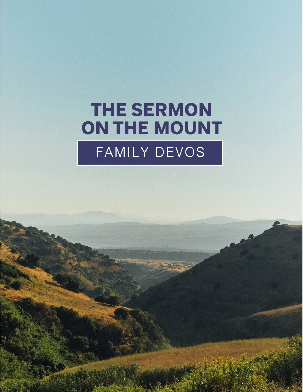# **THE SERMON** ON THE MOUNT FAMILY DEVOS

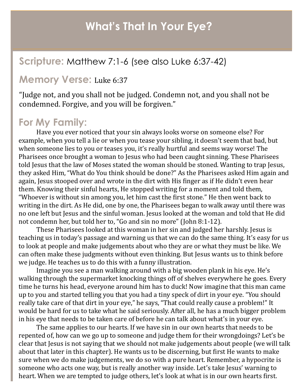### **What's That In Your Eye?**

#### **Scripture:** Matthew 7:1-6 (see also Luke 6:37-42)

#### **Memory Verse:** Luke 6:37

"Judge not, and you shall not be judged. Condemn not, and you shall not be condemned. Forgive, and you will be forgiven."

#### **For My Family:**

Have you ever noticed that your sin always looks worse on someone else? For example, when you tell a lie or when you tease your sibling, it doesn't seem that bad, but when someone lies to you or teases you, it's really hurtful and seems way worse! The Pharisees once brought a woman to Jesus who had been caught sinning. These Pharisees told Jesus that the law of Moses stated the woman should be stoned. Wanting to trap Jesus, they asked Him, "What do You think should be done?" As the Pharisees asked Him again and again, Jesus stooped over and wrote in the dirt with His finger as if He didn't even hear them. Knowing their sinful hearts, He stopped writing for a moment and told them, "Whoever is without sin among you, let him cast the first stone." He then went back to writing in the dirt. As He did, one by one, the Pharisees began to walk away until there was no one left but Jesus and the sinful woman. Jesus looked at the woman and told that He did not condemn her, but told her to, "Go and sin no more" (John 8:1-12).

These Pharisees looked at this woman in her sin and judged her harshly. Jesus is teaching us in today's passage and warning us that we can do the same thing. It's easy for us to look at people and make judgements about who they are or what they must be like. We can often make these judgments without even thinking. But Jesus wants us to think before we judge. He teaches us to do this with a funny illustration.

Imagine you see a man walking around with a big wooden plank in his eye. He's walking through the supermarket knocking things off of shelves everywhere he goes. Every time he turns his head, everyone around him has to duck! Now imagine that this man came up to you and started telling you that you had a tiny speck of dirt in your eye. "You should really take care of that dirt in your eye," he says, "That could really cause a problem!" It would be hard for us to take what he said seriously. After all, he has a much bigger problem in his eye that needs to be taken care of before he can talk about what's in your eye.

The same applies to our hearts. If we have sin in our own hearts that needs to be repented of, how can we go up to someone and judge them for their wrongdoings? Let's be clear that Jesus is not saying that we should not make judgements about people (we will talk about that later in this chapter). He wants us to be discerning, but first He wants to make sure when we do make judgements, we do so with a pure heart. Remember, a hypocrite is someone who acts one way, but is really another way inside. Let's take Jesus' warning to heart. When we are tempted to judge others, let's look at what is in our own hearts first.